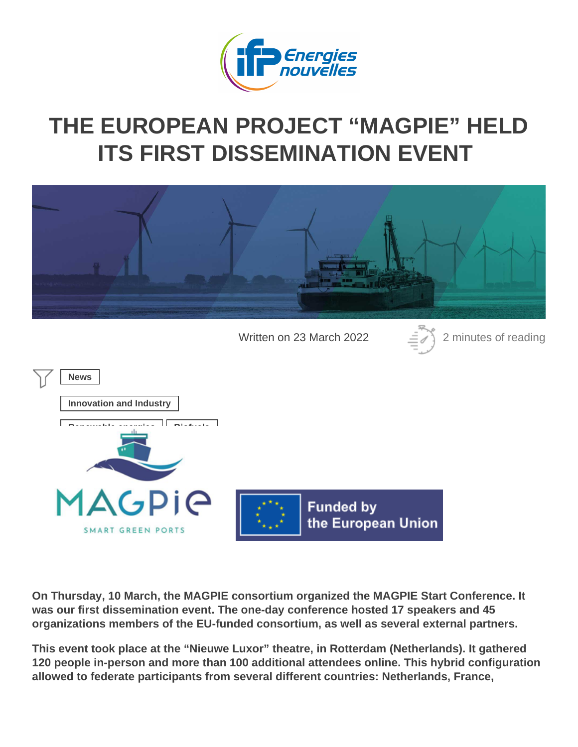## THE EUROPEAN PROJECT "MAGPIE" HELD [ITS FIRST DISSEMINATION E](https://www.ifpenergiesnouvelles.com/article/european-project-magpie-held-its-first-dissemination-event)VENT

Written on 23 March 2022 2 minutes of reading

News

Innovation and Industry

Renewable energies  $||$  Biofuels

On Thursday, 10 March, the MAGPIE consortium organized the MAGPIE Start Conference. It was our first dissemination event. The one-day conference hosted 17 speakers and 45 organizations members of the EU-funded consortium, as well as several external partners.

This event took place at the "Nieuwe Luxor" theatre, in Rotterdam (Netherlands). It gathered 120 people in-person and more than 100 additional attendees online. This hybrid configuration allowed to federate participants from several different countries: Netherlands, France,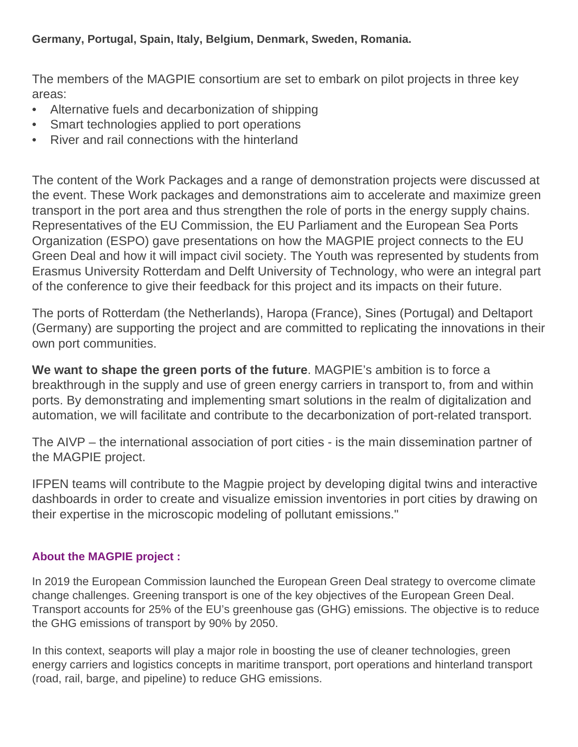### **Germany, Portugal, Spain, Italy, Belgium, Denmark, Sweden, Romania.**

The members of the MAGPIE consortium are set to embark on pilot projects in three key areas:

- Alternative fuels and decarbonization of shipping
- Smart technologies applied to port operations
- River and rail connections with the hinterland

The content of the Work Packages and a range of demonstration projects were discussed at the event. These Work packages and demonstrations aim to accelerate and maximize green transport in the port area and thus strengthen the role of ports in the energy supply chains. Representatives of the EU Commission, the EU Parliament and the European Sea Ports Organization (ESPO) gave presentations on how the MAGPIE project connects to the EU Green Deal and how it will impact civil society. The Youth was represented by students from Erasmus University Rotterdam and Delft University of Technology, who were an integral part of the conference to give their feedback for this project and its impacts on their future.

The ports of Rotterdam (the Netherlands), Haropa (France), Sines (Portugal) and Deltaport (Germany) are supporting the project and are committed to replicating the innovations in their own port communities.

**We want to shape the green ports of the future**. MAGPIE's ambition is to force a breakthrough in the supply and use of green energy carriers in transport to, from and within ports. By demonstrating and implementing smart solutions in the realm of digitalization and automation, we will facilitate and contribute to the decarbonization of port-related transport.

The AIVP – the international association of port cities - is the main dissemination partner of the MAGPIE project.

IFPEN teams will contribute to the Magpie project by developing digital twins and interactive dashboards in order to create and visualize emission inventories in port cities by drawing on their expertise in the microscopic modeling of pollutant emissions."

### **About the MAGPIE project :**

In 2019 the European Commission launched the European Green Deal strategy to overcome climate change challenges. Greening transport is one of the key objectives of the European Green Deal. Transport accounts for 25% of the EU's greenhouse gas (GHG) emissions. The objective is to reduce the GHG emissions of transport by 90% by 2050.

In this context, seaports will play a major role in boosting the use of cleaner technologies, green energy carriers and logistics concepts in maritime transport, port operations and hinterland transport (road, rail, barge, and pipeline) to reduce GHG emissions.